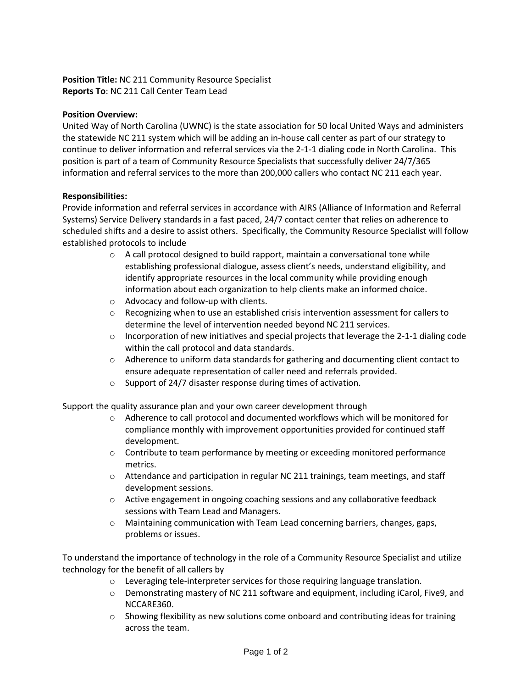# **Position Title:** NC 211 Community Resource Specialist **Reports To**: NC 211 Call Center Team Lead

#### **Position Overview:**

United Way of North Carolina (UWNC) is the state association for 50 local United Ways and administers the statewide NC 211 system which will be adding an in-house call center as part of our strategy to continue to deliver information and referral services via the 2-1-1 dialing code in North Carolina. This position is part of a team of Community Resource Specialists that successfully deliver 24/7/365 information and referral services to the more than 200,000 callers who contact NC 211 each year.

#### **Responsibilities:**

Provide information and referral services in accordance with AIRS (Alliance of Information and Referral Systems) Service Delivery standards in a fast paced, 24/7 contact center that relies on adherence to scheduled shifts and a desire to assist others. Specifically, the Community Resource Specialist will follow established protocols to include

- $\circ$  A call protocol designed to build rapport, maintain a conversational tone while establishing professional dialogue, assess client's needs, understand eligibility, and identify appropriate resources in the local community while providing enough information about each organization to help clients make an informed choice.
- o Advocacy and follow-up with clients.
- $\circ$  Recognizing when to use an established crisis intervention assessment for callers to determine the level of intervention needed beyond NC 211 services.
- $\circ$  Incorporation of new initiatives and special projects that leverage the 2-1-1 dialing code within the call protocol and data standards.
- $\circ$  Adherence to uniform data standards for gathering and documenting client contact to ensure adequate representation of caller need and referrals provided.
- o Support of 24/7 disaster response during times of activation.

Support the quality assurance plan and your own career development through

- $\circ$  Adherence to call protocol and documented workflows which will be monitored for compliance monthly with improvement opportunities provided for continued staff development.
- o Contribute to team performance by meeting or exceeding monitored performance metrics.
- o Attendance and participation in regular NC 211 trainings, team meetings, and staff development sessions.
- $\circ$  Active engagement in ongoing coaching sessions and any collaborative feedback sessions with Team Lead and Managers.
- o Maintaining communication with Team Lead concerning barriers, changes, gaps, problems or issues.

To understand the importance of technology in the role of a Community Resource Specialist and utilize technology for the benefit of all callers by

- $\circ$  Leveraging tele-interpreter services for those requiring language translation.
- $\circ$  Demonstrating mastery of NC 211 software and equipment, including iCarol, Five9, and NCCARE360.
- $\circ$  Showing flexibility as new solutions come onboard and contributing ideas for training across the team.